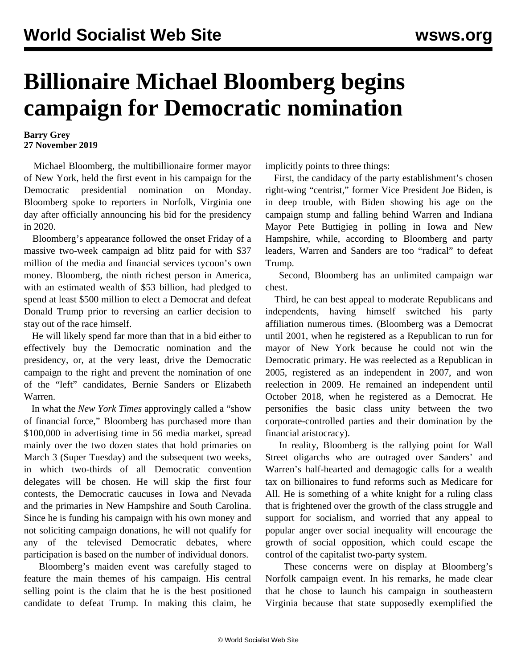## **Billionaire Michael Bloomberg begins campaign for Democratic nomination**

## **Barry Grey 27 November 2019**

 Michael Bloomberg, the multibillionaire former mayor of New York, held the first event in his campaign for the Democratic presidential nomination on Monday. Bloomberg spoke to reporters in Norfolk, Virginia one day after officially announcing his bid for the presidency in 2020.

 Bloomberg's appearance followed the onset Friday of a massive two-week campaign ad blitz paid for with \$37 million of the media and financial services tycoon's own money. Bloomberg, the ninth richest person in America, with an estimated wealth of \$53 billion, had pledged to spend at least \$500 million to elect a Democrat and defeat Donald Trump prior to reversing an earlier decision to stay out of the race himself.

 He will likely spend far more than that in a bid either to effectively buy the Democratic nomination and the presidency, or, at the very least, drive the Democratic campaign to the right and prevent the nomination of one of the "left" candidates, Bernie Sanders or Elizabeth Warren.

 In what the *New York Times* approvingly called a "show of financial force," Bloomberg has purchased more than \$100,000 in advertising time in 56 media market, spread mainly over the two dozen states that hold primaries on March 3 (Super Tuesday) and the subsequent two weeks, in which two-thirds of all Democratic convention delegates will be chosen. He will skip the first four contests, the Democratic caucuses in Iowa and Nevada and the primaries in New Hampshire and South Carolina. Since he is funding his campaign with his own money and not soliciting campaign donations, he will not qualify for any of the televised Democratic debates, where participation is based on the number of individual donors.

 Bloomberg's maiden event was carefully staged to feature the main themes of his campaign. His central selling point is the claim that he is the best positioned candidate to defeat Trump. In making this claim, he

implicitly points to three things:

 First, the candidacy of the party establishment's chosen right-wing "centrist," former Vice President Joe Biden, is in deep trouble, with Biden showing his age on the campaign stump and falling behind Warren and Indiana Mayor Pete Buttigieg in polling in Iowa and New Hampshire, while, according to Bloomberg and party leaders, Warren and Sanders are too "radical" to defeat Trump.

 Second, Bloomberg has an unlimited campaign war chest.

 Third, he can best appeal to moderate Republicans and independents, having himself switched his party affiliation numerous times. (Bloomberg was a Democrat until 2001, when he registered as a Republican to run for mayor of New York because he could not win the Democratic primary. He was reelected as a Republican in 2005, registered as an independent in 2007, and won reelection in 2009. He remained an independent until October 2018, when he registered as a Democrat. He personifies the basic class unity between the two corporate-controlled parties and their domination by the financial aristocracy).

 In reality, Bloomberg is the rallying point for Wall Street oligarchs who are outraged over Sanders' and Warren's half-hearted and demagogic calls for a wealth tax on billionaires to fund reforms such as Medicare for All. He is something of a white knight for a ruling class that is frightened over the growth of the class struggle and support for socialism, and worried that any appeal to popular anger over social inequality will encourage the growth of social opposition, which could escape the control of the capitalist two-party system.

 These concerns were on display at Bloomberg's Norfolk campaign event. In his remarks, he made clear that he chose to launch his campaign in southeastern Virginia because that state supposedly exemplified the